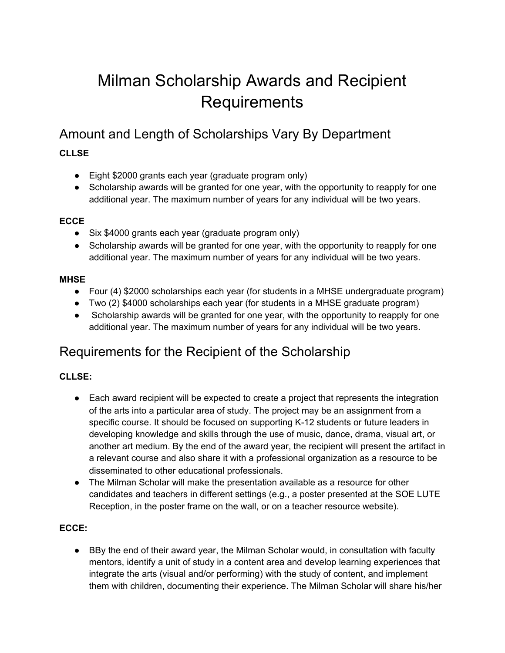# Milman Scholarship Awards and Recipient **Requirements**

## Amount and Length of Scholarships Vary By Department

### **CLLSE**

- Eight \$2000 grants each year (graduate program only)
- Scholarship awards will be granted for one year, with the opportunity to reapply for one additional year. The maximum number of years for any individual will be two years.

#### **ECCE**

- Six \$4000 grants each year (graduate program only)
- Scholarship awards will be granted for one year, with the opportunity to reapply for one additional year. The maximum number of years for any individual will be two years.

#### **MHSE**

- Four (4) \$2000 scholarships each year (for students in a MHSE undergraduate program)
- Two (2) \$4000 scholarships each year (for students in a MHSE graduate program)
- Scholarship awards will be granted for one year, with the opportunity to reapply for one additional year. The maximum number of years for any individual will be two years.

## Requirements for the Recipient of the Scholarship

#### **CLLSE:**

- Each award recipient will be expected to create a project that represents the integration of the arts into a particular area of study. The project may be an assignment from a specific course. It should be focused on supporting K-12 students or future leaders in developing knowledge and skills through the use of music, dance, drama, visual art, or another art medium. By the end of the award year, the recipient will present the artifact in a relevant course and also share it with a professional organization as a resource to be disseminated to other educational professionals.
- The Milman Scholar will make the presentation available as a resource for other candidates and teachers in different settings (e.g., a poster presented at the SOE LUTE Reception, in the poster frame on the wall, or on a teacher resource website).

#### **ECCE:**

● BBy the end of their award year, the Milman Scholar would, in consultation with faculty mentors, identify a unit of study in a content area and develop learning experiences that integrate the arts (visual and/or performing) with the study of content, and implement them with children, documenting their experience. The Milman Scholar will share his/her